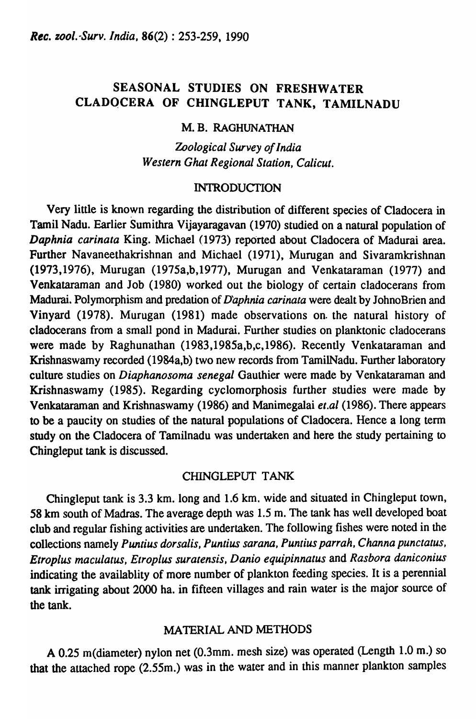# SEASONAL STUDIES ON FRESHWATER CLADQCERA OF CHINGLEPUT TANK, TAMILNADU

# M.B. RAGHUNATHAN

*Zoological Survey of India Western Ghat Regional Station, Calicut.* 

# INTRODUCTION

Very little is known regarding the distribution of different species of Cladocera in Tamil Nadu. Earlier Sumithra Vijayaragavan (1970) studied on a natural population of *Daphnia carinata* King. Michael (1973) reported about Cladocera of Madurai area. Further Navaneethakrishnan and Michael (1971), Murugan and Sivaramkrishnan (1973,1976), Murugan (1975a,b,1977), Murugan and Venkataraman (1977) and Venkataraman and Job (1980) worked out the biology of certain cladocerans from Madurai. Polymorphism and predation of *Daphnia carinata* were dealt by JohnoBrien and Vinyard (1978). Murugan (1981) made observations on. the natural history of cladocerans from a small pond in Madurai. Further studies on planktonic cladocerans were made by Raghunathan (1983,1985a,b,c,1986). Recently Venkataraman and Krishnaswamy recorded (1984a,b) two new records from TamilNadu. Further laboratory culture studies on *Diaphanosoma senegal* Gauthier were made by Venkataraman and Krishnaswamy (1985). Regarding cyclomorphosis further studies were made by Venkataraman and Krishnaswamy (1986) and Manimegalai *el.al* (1986). There appears to be a paucity on studies of the natural populations of Cladocera. Hence a long term study on the Cladocera of Tamilnadu was undertaken and here the study pertaining to Chingleput tank is discussed.

# CHINGLEPUT TANK

Chingleput tank is 3.3 km. long and 1.6 km. wide and situated in Chingleput town, 58 km south of Madras. The average depth was 1.5 m. The tank has well developed boat club and regular fishing activities are undertaken. The following fishes were noted in the collections namely *Puntius dorsalis, Puntius sarana, Puntius parrah, Channa punctatus, Etroplus maculatus, Etroplus suratensis, Danio equipinnatus* and *Rasbora daniconius*  indicating the availablity of more number of plankton feeding species. It is a perennial tank irrigating about 2000 ha. in fifteen villages and rain water is the major source of the tank.

# MATERIAL AND METHODS

A 0.25 m(diameter) nylon net (O.3mm. mesh size) was operated (Length 1.0 m.) so that the attached rope (2.S5m.) was in the water and in this manner plankton samples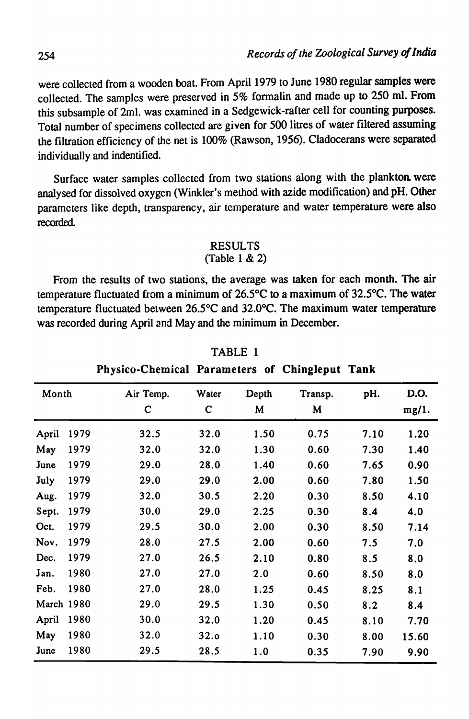were collected from a wooden boat. From April 1979 to June 1980 regular samples were collected. The samples were preserved in 5% formalin and made up to 250 ml. From this subsample of 2ml. was examined in a Sedgewick-rafter cell for counting purposes. Total number of specimens collected are given for 500 litres of water filtered assuming the filtration efficiency of the net is 100% (Rawson, 1956). Cladocerans were separated individually and indentified.

Surface water samples collected from two stations along with the plankton. were analysed for dissolved oxygen (Winkler's method with azide modification) and pH. Other parameters like depth, transparency, air temperature and water temperature were also recorded.

#### RESULTS (Table 1 & 2)

From the results of two stations, the average was taken for each month. The air temperature fluctuated from a minimum of *26.SoC* to a maximum of 32.5°C. The water temperature fluctuated between 26.5<sup>o</sup>C and 32.0<sup>o</sup>C. The maximum water temperature was recorded during April and May and the minimum in December.

| Month      |      | Air Temp.<br>$\mathbf C$ | Water<br>$\mathbf C$ | Depth<br>M | Transp.<br>M | pH.  | D.O.<br>mg/1. |
|------------|------|--------------------------|----------------------|------------|--------------|------|---------------|
| April      | 1979 | 32.5                     | 32.0                 | 1.50       | 0.75         | 7.10 | 1.20          |
| May        | 1979 | 32.0                     | 32.0                 | 1.30       | 0.60         | 7.30 | 1.40          |
| June       | 1979 | 29.0                     | 28.0                 | 1.40       | 0.60         | 7.65 | 0.90          |
| July       | 1979 | 29.0                     | 29.0                 | 2.00       | 0.60         | 7.80 | 1.50          |
| Aug.       | 1979 | 32.0                     | 30.5                 | 2.20       | 0.30         | 8.50 | 4.10          |
| Sept.      | 1979 | 30.0                     | 29.0                 | 2.25       | 0.30         | 8.4  | 4.0           |
| Oct.       | 1979 | 29.5                     | 30.0                 | 2.00       | 0.30         | 8.50 | 7.14          |
| Nov.       | 1979 | 28.0                     | 27.5                 | 2.00       | 0.60         | 7.5  | 7.0           |
| Dec.       | 1979 | 27.0                     | 26.5                 | 2,10       | 0.80         | 8.5  | 8.0           |
| Jan.       | 1980 | 27.0                     | 27.0                 | 2.0        | 0.60         | 8.50 | 8.0           |
| Feb.       | 1980 | 27.0                     | 28.0                 | 1.25       | 0.45         | 8.25 | 8.1           |
| March 1980 |      | 29.0                     | 29.5                 | 1.30       | 0.50         | 8.2  | 8.4           |
| April      | 1980 | 30.0                     | 32.0                 | 1.20       | 0.45         | 8.10 | 7.70          |
| May        | 1980 | 32.0                     | 32.0                 | 1.10       | 0.30         | 8.00 | 15.60         |
| June       | 1980 | 29.5                     | 28.5                 | 1.0        | 0.35         | 7.90 | 9.90          |

TABLE 1

Physico-Chemical Parameters of Chingleput Tank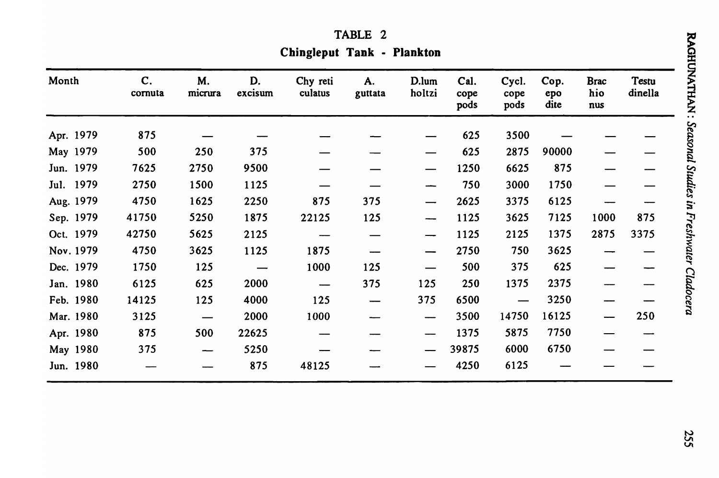| <b>TABLE</b> |
|--------------|
|--------------|

Chingleput Tank - Plankton

| Month     | $\mathbf{C}$ .<br>cornuta | M.<br>micrura                     | D.<br>excisum            | Chy reti<br>culatus | A.<br>guttata | D.lum<br>holtzi               | Cal.<br>cope<br>pods | Cycl.<br>cope<br>pods | Cop.<br>epo<br>dite | <b>Brac</b><br>hio<br>nus | Testu<br>dinella |
|-----------|---------------------------|-----------------------------------|--------------------------|---------------------|---------------|-------------------------------|----------------------|-----------------------|---------------------|---------------------------|------------------|
| Apr. 1979 | 875                       |                                   |                          |                     |               |                               | 625                  | 3500                  |                     |                           |                  |
| May 1979  | 500                       | 250                               | 375                      |                     |               |                               | 625                  | 2875                  | 90000               |                           |                  |
| Jun. 1979 | 7625                      | 2750                              | 9500                     |                     |               |                               | 1250                 | 6625                  | 875                 |                           |                  |
| Jul. 1979 | 2750                      | 1500                              | 1125                     |                     |               | ---                           | 750                  | 3000                  | 1750                |                           |                  |
| Aug. 1979 | 4750                      | 1625                              | 2250                     | 875                 | 375           | $\overline{\phantom{m}}$      | 2625                 | 3375                  | 6125                |                           |                  |
| Sep. 1979 | 41750                     | 5250                              | 1875                     | 22125               | 125           | -----                         | 1125                 | 3625                  | 7125                | 1000                      | 875              |
| Oct. 1979 | 42750                     | 5625                              | 2125                     |                     |               | ---                           | 1125                 | 2125                  | 1375                | 2875                      | 3375             |
| Nov. 1979 | 4750                      | 3625                              | 1125                     | 1875                |               |                               | 2750                 | 750                   | 3625                |                           |                  |
| Dec. 1979 | 1750                      | 125                               | $\overline{\phantom{m}}$ | 1000                | 125           | $\overbrace{\phantom{aaaaa}}$ | 500                  | 375                   | 625                 |                           |                  |
| Jan. 1980 | 6125                      | 625                               | 2000                     |                     | 375           | 125                           | 250                  | 1375                  | 2375                |                           |                  |
| Feb. 1980 | 14125                     | 125                               | 4000                     | 125                 |               | 375                           | 6500                 |                       | 3250                |                           |                  |
| Mar. 1980 | 3125                      | $\overbrace{\phantom{123221111}}$ | 2000                     | 1000                |               |                               | 3500                 | 14750                 | 16125               |                           | 250              |
| Apr. 1980 | 875                       | 500                               | 22625                    |                     |               |                               | 1375                 | 5875                  | 7750                |                           |                  |
| May 1980  | 375                       | --                                | 5250                     |                     |               |                               | 39875                | 6000                  | 6750                |                           |                  |
| Jun. 1980 |                           |                                   | 875                      | 48125               |               |                               | 4250                 | 6125                  |                     |                           |                  |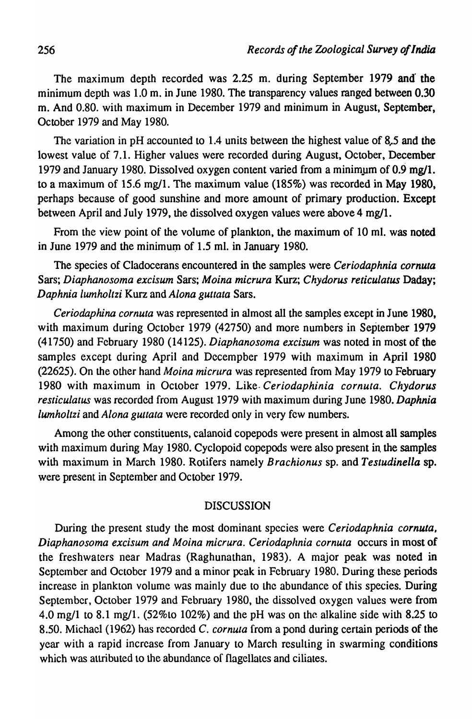The maximum depth recorded was 2.25 m. during September 1979 and' the minimum depth was 1.0 m. in June 1980. The transparency values ranged between 0.30 m. And 0.80. with maximum in December 1979 and minimum in August, September, October 1979 and May 1980.

The variation in pH accounted to 1.4 units between the highest value of 8.5 and the lowest value of 7.1. Higher values were recorded during August, October, December 1979 and January 1980. Dissolved oxygen content varied from a minimum of  $0.9 \text{ mg}/1$ . to a maximum of 15.6 mg/1. The maximum value (185%) was recorded in May 1980, perhaps because of good sunshine and more amount of primary production. Except between April and July 1979, the dissolved oxygen values were above 4 mg/1.

From the view point of the volume of plankton, the maximum of 10 ml. was noted in June 1979 and the minimum of 1.5 ml. in January 1980.

The species of Cladocerans encountered in the samples were *Ceriodaphnia cornuta*  Sars; *Diaphanosoma excisum* Sars; *Moina micrura* Kurz; *Chydorus reticulatus* Daday; *Daphnia lumholtzi* Kurz and *Alona guttata* Sars.

*Ceriodaphina cornuta* was represented in almost all the samples except in June 1980, with maximum during October 1979 (42750) and more numbers in September 1979 (41750) and February 1980 (14125). *Diaphanosoma excisum* was noted in most of the samples except during April and Decempber 1979 with maximum in April 1980 (22625). On the other hand *Moina micrura* was represented from May 1979 to February 1980 with maximum in October 1979. Like *Ceriodaphinia cornuta. Chydorus resticulatus* was recorded from August 1979 with maximum during June 1980. *Daphnia lumholtzi* and *Alona guttata* were recorded only in very few numbers.

Among the other constituents, calanoid copepods were present in almost all samples with maximum during May 1980. Cyclopoid copepods were also present in the samples with maximum in March 1980. Rotifers namely *Brachionus* sp. and *Testudinella* sp. were present in September and October 1979.

# DISCUSSION

During the present study the most dominant species were *Ceriodaphnia cornuta*, Diaphanosoma excisum and Moina micrura. Ceriodaphnia cornuta occurs in most of the freshwaters near Madras (Raghunathan, 1983). A major peak was noted in September and October 1979 and a minor peak in February 1980. During these periods increase in plankton volume was mainly due to the abundance of this species. During September, October 1979 and February 1980, the dissolved oxygen values were from 4.0 mg/l to 8.1 mg/l. (52%to 102%) and the pH was on the alkaline side with 8.25 to 8.50. Michael (1962) has recorded C. *cornula* from a pond during certain periods of the year with a rapid increase from January to March resulting in swarming conditions which was attributed to the abundance of flagellates and ciliates.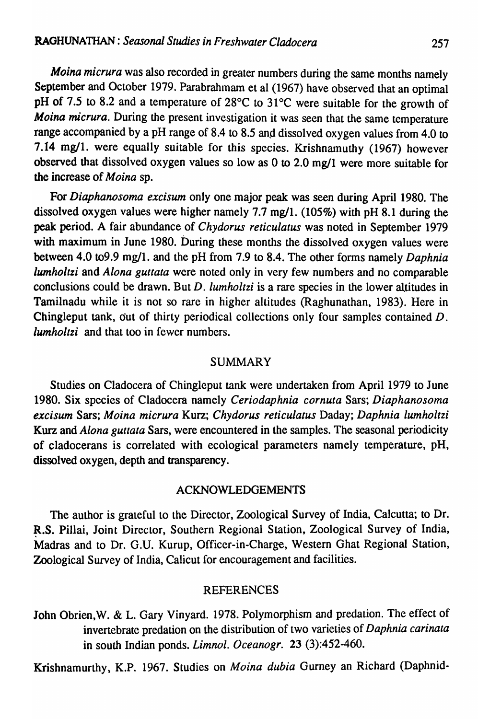*Moina micrura* was also recorded in greater numbers during the same months namely September and October 1979. Parabrahmam et al (1967) have observed that an optimal pH of 7.5 to 8.2 and a temperature of 28°C to 31°C were suitable for the growth of *Moina micrura.* During the present investigation it was seen that the same temperature range accompanied by a pH range of 8.4 to 8.5 and dissolved oxygen values from 4.0 to 7.14 mg/l. were equally suitable for this species. Krishnamuthy (1967) however observed that dissolved oxygen values so low as 0 to 2.0 mg/l were more suitable for the increase of *Moina* sp.

For *Diaphanosoma excisum* only one major peak was seen during April 1980. The dissolved oxygen values were higher namely 7.7 mg/l. (105%) with pH 8.1 during the peak period. A fair abundance of *Chydorus reticulatus* was noted in September 1979 with maximum in June 1980. During these months the dissolved oxygen values were between 4.0 to9.9 mg/I. and the pH from 7.9 to 8.4. The other forms namely *Daphnia lumholtzi* and *Alona guttata* were noted only in very few numbers and no comparable conclusions could be drawn. But *D. lumholtzi* is a rare species in the lower altitudes in Tamilnadu while it is not so rare in higher altitudes (Raghunathan, 1983). Here in Chingleput tank, dut of thirty periodical collections only four samples contained D. *lumholtzi* and that too in fewer numbers.

# SUMMARY

Studies on Cladocera of Chingleput tank were undertaken from April 1979 to June 1980. Six species of Cladocera namely *Ceriodaphnia corn uta* Sars; *Diaphanosoma excisum* Sars; *Moina micrura* Kurz; *Chydorus reticulatus* Daday; *Daphnia lumholtzi*  Kurz and *Alona guttata* Sars, were encountered in the samples. The seasonal periodicity of cladocerans is correlated with ecological parameters namely temperature, pH, dissolved oxygen, depth and transparency.

#### ACKNOWLEDGEMENTS

The author is grateful to the Director, Zoological Survey of India, Calcutta; to Dr. R.S. Pillai, Joint Director, Southern Regional Station, Zoological Survey of India, Madras and to Dr. G.U. Kurup, Officer-in-Charge, Western Ghat Regional Station, Zoological Survey of India, Calicut for encouragement and facilities.

# REFERENCES

John Obrien, W. & L. Gary Vinyard. 1978. Polymorphism and predation. The effect of invertebrate predation on the distribution of two varieties of *Daphnia carinata*  in south Indian ponds. *Limnol. Oceanogr.* 23 (3):452-460.

Krishnamurthy, K.P. 1967. Studies on *Moina dubia* Gurney an Richard (Daphnid-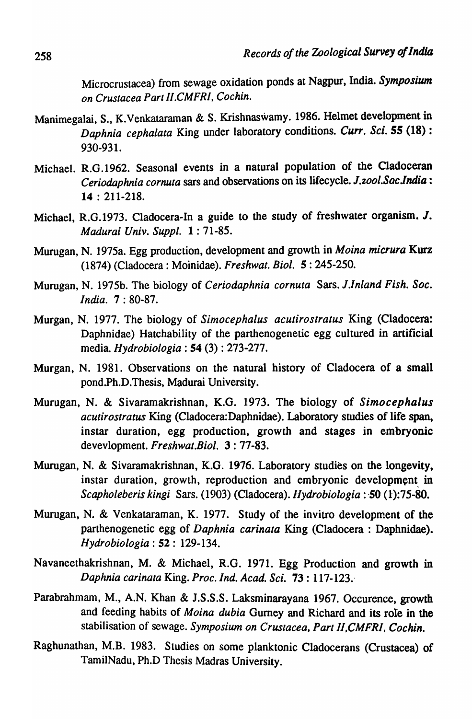Microcrustacea) from sewage oxidation ponds at Nagpur. India. *Symposium on Crustacea Part II.CMFRI, Cochin.* 

- Manimegalai, S., K.Venkataraman & S. Krishnaswamy. 1986. Helmet development in *Daphnia cephalata* King under laboratory conditions. *Curr. Sci.* 55 (18): 930-931.
- Michael. R.G .1962. Seasonal events in a natural population of the Cladoceran *Ceriodaphnia cornuta* sars and observations on its lifecycle. *1.zool.Saclndia:*  14 : 211-218.
- Michael, R.G.1973. Cladocera-In a guide to the study of freshwater organism. J. *Madurai Univ. Suppl.* 1: 71-85.
- Murugan, N. 1975a. Egg production, development and growth in *Moina micrura* Kurz (1874) (Cladocera : Moinidae). *Freshwat. Bioi.* 5: 245-250.
- Murugan, N. 1975b. The biology of *Ceriodaphnia cornuta* Sars. *l.Inland Fish. Soc. India.* 7: 80-87.
- Murgan, N. 1977. The biology of *Sitnocephalus acutirostratus* King (Cladocera: Daphnidae) Hatchability of the parthenogenetic egg cultured in artificial media. *Hydrobiologia* : 54 (3) : 273-277.
- Murgan, N. 1981. Observations on the natural history of Cladocera of a small pond.Ph.D.Thesis, Madurai University.
- Murugan, N. & Sivaramakrishnan, K.G. 1973. The biology of *Simocephalus acutirostratus* King (Cladocera:Daphnidae). Laboratory studies of life span. instar duration, egg production, growth and stages in embryonic devevlopment. *Freshwat.Biol.* 3: 77-83.
- Murugan, N. & Sivaramakrishnan, K.G. 1976. Laboratory studies on the longevity, instar duration, growth, reproduction and embryonic development in *Scapholeberis kingi Sars.* (1903) (Cladocera). *Hydrobiologia* : **50** (1):75-80.
- Murugan, N. & Venkataraman, K. 1977. Study of the invitro development of the parthenogenetic egg of *Daphnia carinata* King (Cladocera : Daphnidae). *Hydrobiologia* : 52 : 129-134.
- Navaneethakrishnan, M. & Michael, R.G. 1971. Egg Production and growth in *Daphnia carinata* King. *Proc. Ind. Acad. Sci.* 73: 117-123.-
- Parabrahmam, M., A.N. Khan & J.S.S.S. Laksminarayana 1967. Occurence, growth and feeding habits of *Moina dubia* Gurney and Richard and its role in the stabilisation of sewage. Symposium on Crustacea, Part II, CMFRI, Cochin.
- Raghunathan, M.B. 1983. Studies on some planktonic Cladocerans (Crustacea) of TamilNadu, Ph.D Thesis Madras University.